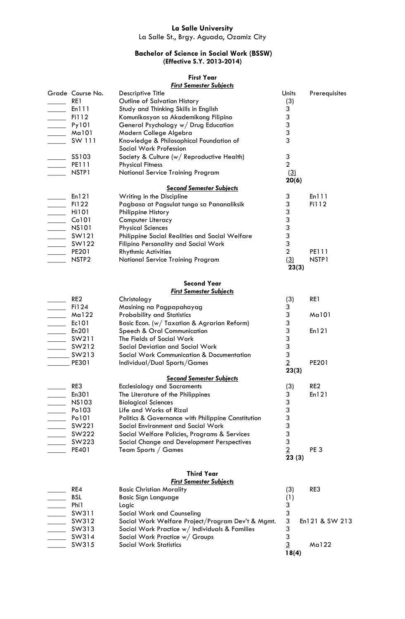## **La Salle University**

La Salle St., Brgy. Aguada, Ozamiz City

## **Bachelor of Science in Social Work (BSSW) (Effective S.Y. 2013-2014)**

## **First Year**

## *First Semester Subjects*

| $\frac{1}{\sqrt{1-\frac{1}{2}}}$ Enlll<br>$\mathsf 3$<br>$\frac{1}{\sqrt{1-\frac{1}{2}}}$ Fill2<br>Komunikasyon sa Akademikong Filipino<br>$\mathfrak{S}$<br>$\frac{1}{\sqrt{2}}$ Py101<br>General Psychology w/ Drug Education<br>3<br>$\frac{1}{\sqrt{1-\frac{1}{2}}}\$ Mal01<br>Modern College Algebra<br>3<br>SW 111<br>Knowledge & Philosophical Foundation of<br>Social Work Profession<br>$\frac{1}{2}$ SS103<br>3<br>Society & Culture (w/ Reproductive Health)<br>$\overline{2}$<br>$\frac{1}{\sqrt{1-\frac{1}{2}}}$ PE111<br><b>Physical Fitness</b><br>NSTP1<br>National Service Training Program<br>(3)<br>20(6)<br><b>Second Semester Subjects</b><br>$\equiv$ En121<br>3<br>En111<br>Writing in the Discipline<br>$\mathfrak{S}$<br>$\overline{\phantom{1}}$ Fi122<br>Pagbasa at Pagsulat tungo sa Pananaliksik<br>Fi112<br>$\mathfrak{Z}$<br>$\frac{1}{\sqrt{1-\frac{1}{2}}}\$ Hil01<br>Philippine History<br>3<br>Computer Literacy<br>3<br><b>Physical Sciences</b><br>3<br>$\frac{1}{2}$ SW121<br>Philippine Social Realities and Social Welfare<br>3<br>$\frac{1}{2}$ SW122<br>Filipino Personality and Social Work<br>$\overline{2}$<br>$\rule{1em}{0.15mm}$ PE201<br><b>Rhythmic Activities</b><br>PE111<br>NSTP <sub>2</sub><br>National Service Training Program<br>(3)<br>NSTP1<br>23(3)<br><b>Second Year</b><br><b>First Semester Subjects</b><br>RE <sub>2</sub><br>RE1<br>Christology<br>(3)<br>$\frac{1}{\sqrt{1-\frac{1}{2}}}$ Fi124<br>3<br>Masining na Pagpapahayag<br>3<br>$\frac{1}{\sqrt{1-\frac{1}{2}}}\$ Mal22<br><b>Probability and Statistics</b><br>Ma101<br>3<br>$\frac{\text{Ec101}}{\text{Ec101}}$<br>Basic Econ. (w/ Taxation & Agrarian Reform)<br>$\mathfrak{S}$<br>$\frac{1}{\sqrt{2}}$ En201<br>Speech & Oral Communication<br>En121<br>3<br>The Fields of Social Work<br>3<br>$\frac{\text{SW212}}{1}$<br>Social Deviation and Social Work<br>3<br>$\frac{\ }{\ }$ SW213<br>Social Work Communication & Documentation<br>$\overline{2}$<br>$P$ E301<br>PE201<br>Individual/Dual Sports/Games<br>23(3)<br><b>Second Semester Subjects</b><br>RE3<br>(3)<br>RE <sub>2</sub><br><b>Ecclesiology and Sacraments</b><br>En301<br>3<br>En121<br>The Literature of the Philippines<br>$\mathfrak{Z}$<br><b>NS103</b><br><b>Biological Sciences</b><br>3<br>Po103<br>Life and Works of Rizal<br>3<br>Po101<br>Politics & Governance with Philippine Constitution<br>3<br>SW221<br>Social Environment and Social Work<br>3<br>SW222<br>Social Welfare Policies, Programs & Services<br>$\mathfrak{S}$<br>SW223<br>Social Change and Development Perspectives<br>$\overline{2}$<br>PE401<br>Team Sports / Games<br>PE <sub>3</sub><br>23(3)<br><b>Third Year</b><br><b>First Semester Subjects</b><br>RE4<br>RE3<br><b>Basic Christian Morality</b><br>(3)<br><b>BSL</b><br><b>Basic Sign Language</b><br>(1)<br>3<br>Phi1<br>Logic<br>$\mathfrak{Z}$<br>SW311<br>Social Work and Counseling<br>$\mathfrak{3}$<br>SW312<br>Social Work Welfare Project/Program Dev't & Mgmt.<br>En121 & SW 213<br>$\ensuremath{\mathsf{3}}$<br>SW313<br>Social Work Practice w/ Individuals & Families<br>3<br>SW314<br>Social Work Practice w/ Groups<br>$\overline{3}$<br>SW315<br><b>Social Work Statistics</b><br>Ma122<br>18(4) | Grade Course No.<br>RE1 | <b>Descriptive Title</b><br>Outline of Salvation History | Units<br>(3) | Prerequisites |
|-------------------------------------------------------------------------------------------------------------------------------------------------------------------------------------------------------------------------------------------------------------------------------------------------------------------------------------------------------------------------------------------------------------------------------------------------------------------------------------------------------------------------------------------------------------------------------------------------------------------------------------------------------------------------------------------------------------------------------------------------------------------------------------------------------------------------------------------------------------------------------------------------------------------------------------------------------------------------------------------------------------------------------------------------------------------------------------------------------------------------------------------------------------------------------------------------------------------------------------------------------------------------------------------------------------------------------------------------------------------------------------------------------------------------------------------------------------------------------------------------------------------------------------------------------------------------------------------------------------------------------------------------------------------------------------------------------------------------------------------------------------------------------------------------------------------------------------------------------------------------------------------------------------------------------------------------------------------------------------------------------------------------------------------------------------------------------------------------------------------------------------------------------------------------------------------------------------------------------------------------------------------------------------------------------------------------------------------------------------------------------------------------------------------------------------------------------------------------------------------------------------------------------------------------------------------------------------------------------------------------------------------------------------------------------------------------------------------------------------------------------------------------------------------------------------------------------------------------------------------------------------------------------------------------------------------------------------------------------------------------------------------------------------------------------------------------------------------------------------------------------------------------------------------------------------------------------------------------------------------------------------|-------------------------|----------------------------------------------------------|--------------|---------------|
|                                                                                                                                                                                                                                                                                                                                                                                                                                                                                                                                                                                                                                                                                                                                                                                                                                                                                                                                                                                                                                                                                                                                                                                                                                                                                                                                                                                                                                                                                                                                                                                                                                                                                                                                                                                                                                                                                                                                                                                                                                                                                                                                                                                                                                                                                                                                                                                                                                                                                                                                                                                                                                                                                                                                                                                                                                                                                                                                                                                                                                                                                                                                                                                                                                                             |                         | Study and Thinking Skills in English                     | 3            |               |
|                                                                                                                                                                                                                                                                                                                                                                                                                                                                                                                                                                                                                                                                                                                                                                                                                                                                                                                                                                                                                                                                                                                                                                                                                                                                                                                                                                                                                                                                                                                                                                                                                                                                                                                                                                                                                                                                                                                                                                                                                                                                                                                                                                                                                                                                                                                                                                                                                                                                                                                                                                                                                                                                                                                                                                                                                                                                                                                                                                                                                                                                                                                                                                                                                                                             |                         |                                                          |              |               |
|                                                                                                                                                                                                                                                                                                                                                                                                                                                                                                                                                                                                                                                                                                                                                                                                                                                                                                                                                                                                                                                                                                                                                                                                                                                                                                                                                                                                                                                                                                                                                                                                                                                                                                                                                                                                                                                                                                                                                                                                                                                                                                                                                                                                                                                                                                                                                                                                                                                                                                                                                                                                                                                                                                                                                                                                                                                                                                                                                                                                                                                                                                                                                                                                                                                             |                         |                                                          |              |               |
|                                                                                                                                                                                                                                                                                                                                                                                                                                                                                                                                                                                                                                                                                                                                                                                                                                                                                                                                                                                                                                                                                                                                                                                                                                                                                                                                                                                                                                                                                                                                                                                                                                                                                                                                                                                                                                                                                                                                                                                                                                                                                                                                                                                                                                                                                                                                                                                                                                                                                                                                                                                                                                                                                                                                                                                                                                                                                                                                                                                                                                                                                                                                                                                                                                                             |                         |                                                          |              |               |
|                                                                                                                                                                                                                                                                                                                                                                                                                                                                                                                                                                                                                                                                                                                                                                                                                                                                                                                                                                                                                                                                                                                                                                                                                                                                                                                                                                                                                                                                                                                                                                                                                                                                                                                                                                                                                                                                                                                                                                                                                                                                                                                                                                                                                                                                                                                                                                                                                                                                                                                                                                                                                                                                                                                                                                                                                                                                                                                                                                                                                                                                                                                                                                                                                                                             |                         |                                                          |              |               |
|                                                                                                                                                                                                                                                                                                                                                                                                                                                                                                                                                                                                                                                                                                                                                                                                                                                                                                                                                                                                                                                                                                                                                                                                                                                                                                                                                                                                                                                                                                                                                                                                                                                                                                                                                                                                                                                                                                                                                                                                                                                                                                                                                                                                                                                                                                                                                                                                                                                                                                                                                                                                                                                                                                                                                                                                                                                                                                                                                                                                                                                                                                                                                                                                                                                             |                         |                                                          |              |               |
|                                                                                                                                                                                                                                                                                                                                                                                                                                                                                                                                                                                                                                                                                                                                                                                                                                                                                                                                                                                                                                                                                                                                                                                                                                                                                                                                                                                                                                                                                                                                                                                                                                                                                                                                                                                                                                                                                                                                                                                                                                                                                                                                                                                                                                                                                                                                                                                                                                                                                                                                                                                                                                                                                                                                                                                                                                                                                                                                                                                                                                                                                                                                                                                                                                                             |                         |                                                          |              |               |
|                                                                                                                                                                                                                                                                                                                                                                                                                                                                                                                                                                                                                                                                                                                                                                                                                                                                                                                                                                                                                                                                                                                                                                                                                                                                                                                                                                                                                                                                                                                                                                                                                                                                                                                                                                                                                                                                                                                                                                                                                                                                                                                                                                                                                                                                                                                                                                                                                                                                                                                                                                                                                                                                                                                                                                                                                                                                                                                                                                                                                                                                                                                                                                                                                                                             |                         |                                                          |              |               |
|                                                                                                                                                                                                                                                                                                                                                                                                                                                                                                                                                                                                                                                                                                                                                                                                                                                                                                                                                                                                                                                                                                                                                                                                                                                                                                                                                                                                                                                                                                                                                                                                                                                                                                                                                                                                                                                                                                                                                                                                                                                                                                                                                                                                                                                                                                                                                                                                                                                                                                                                                                                                                                                                                                                                                                                                                                                                                                                                                                                                                                                                                                                                                                                                                                                             |                         |                                                          |              |               |
|                                                                                                                                                                                                                                                                                                                                                                                                                                                                                                                                                                                                                                                                                                                                                                                                                                                                                                                                                                                                                                                                                                                                                                                                                                                                                                                                                                                                                                                                                                                                                                                                                                                                                                                                                                                                                                                                                                                                                                                                                                                                                                                                                                                                                                                                                                                                                                                                                                                                                                                                                                                                                                                                                                                                                                                                                                                                                                                                                                                                                                                                                                                                                                                                                                                             |                         |                                                          |              |               |
|                                                                                                                                                                                                                                                                                                                                                                                                                                                                                                                                                                                                                                                                                                                                                                                                                                                                                                                                                                                                                                                                                                                                                                                                                                                                                                                                                                                                                                                                                                                                                                                                                                                                                                                                                                                                                                                                                                                                                                                                                                                                                                                                                                                                                                                                                                                                                                                                                                                                                                                                                                                                                                                                                                                                                                                                                                                                                                                                                                                                                                                                                                                                                                                                                                                             |                         |                                                          |              |               |
|                                                                                                                                                                                                                                                                                                                                                                                                                                                                                                                                                                                                                                                                                                                                                                                                                                                                                                                                                                                                                                                                                                                                                                                                                                                                                                                                                                                                                                                                                                                                                                                                                                                                                                                                                                                                                                                                                                                                                                                                                                                                                                                                                                                                                                                                                                                                                                                                                                                                                                                                                                                                                                                                                                                                                                                                                                                                                                                                                                                                                                                                                                                                                                                                                                                             |                         |                                                          |              |               |
|                                                                                                                                                                                                                                                                                                                                                                                                                                                                                                                                                                                                                                                                                                                                                                                                                                                                                                                                                                                                                                                                                                                                                                                                                                                                                                                                                                                                                                                                                                                                                                                                                                                                                                                                                                                                                                                                                                                                                                                                                                                                                                                                                                                                                                                                                                                                                                                                                                                                                                                                                                                                                                                                                                                                                                                                                                                                                                                                                                                                                                                                                                                                                                                                                                                             |                         |                                                          |              |               |
|                                                                                                                                                                                                                                                                                                                                                                                                                                                                                                                                                                                                                                                                                                                                                                                                                                                                                                                                                                                                                                                                                                                                                                                                                                                                                                                                                                                                                                                                                                                                                                                                                                                                                                                                                                                                                                                                                                                                                                                                                                                                                                                                                                                                                                                                                                                                                                                                                                                                                                                                                                                                                                                                                                                                                                                                                                                                                                                                                                                                                                                                                                                                                                                                                                                             |                         |                                                          |              |               |
|                                                                                                                                                                                                                                                                                                                                                                                                                                                                                                                                                                                                                                                                                                                                                                                                                                                                                                                                                                                                                                                                                                                                                                                                                                                                                                                                                                                                                                                                                                                                                                                                                                                                                                                                                                                                                                                                                                                                                                                                                                                                                                                                                                                                                                                                                                                                                                                                                                                                                                                                                                                                                                                                                                                                                                                                                                                                                                                                                                                                                                                                                                                                                                                                                                                             |                         |                                                          |              |               |
|                                                                                                                                                                                                                                                                                                                                                                                                                                                                                                                                                                                                                                                                                                                                                                                                                                                                                                                                                                                                                                                                                                                                                                                                                                                                                                                                                                                                                                                                                                                                                                                                                                                                                                                                                                                                                                                                                                                                                                                                                                                                                                                                                                                                                                                                                                                                                                                                                                                                                                                                                                                                                                                                                                                                                                                                                                                                                                                                                                                                                                                                                                                                                                                                                                                             |                         |                                                          |              |               |
|                                                                                                                                                                                                                                                                                                                                                                                                                                                                                                                                                                                                                                                                                                                                                                                                                                                                                                                                                                                                                                                                                                                                                                                                                                                                                                                                                                                                                                                                                                                                                                                                                                                                                                                                                                                                                                                                                                                                                                                                                                                                                                                                                                                                                                                                                                                                                                                                                                                                                                                                                                                                                                                                                                                                                                                                                                                                                                                                                                                                                                                                                                                                                                                                                                                             |                         |                                                          |              |               |
|                                                                                                                                                                                                                                                                                                                                                                                                                                                                                                                                                                                                                                                                                                                                                                                                                                                                                                                                                                                                                                                                                                                                                                                                                                                                                                                                                                                                                                                                                                                                                                                                                                                                                                                                                                                                                                                                                                                                                                                                                                                                                                                                                                                                                                                                                                                                                                                                                                                                                                                                                                                                                                                                                                                                                                                                                                                                                                                                                                                                                                                                                                                                                                                                                                                             |                         |                                                          |              |               |
|                                                                                                                                                                                                                                                                                                                                                                                                                                                                                                                                                                                                                                                                                                                                                                                                                                                                                                                                                                                                                                                                                                                                                                                                                                                                                                                                                                                                                                                                                                                                                                                                                                                                                                                                                                                                                                                                                                                                                                                                                                                                                                                                                                                                                                                                                                                                                                                                                                                                                                                                                                                                                                                                                                                                                                                                                                                                                                                                                                                                                                                                                                                                                                                                                                                             |                         |                                                          |              |               |
|                                                                                                                                                                                                                                                                                                                                                                                                                                                                                                                                                                                                                                                                                                                                                                                                                                                                                                                                                                                                                                                                                                                                                                                                                                                                                                                                                                                                                                                                                                                                                                                                                                                                                                                                                                                                                                                                                                                                                                                                                                                                                                                                                                                                                                                                                                                                                                                                                                                                                                                                                                                                                                                                                                                                                                                                                                                                                                                                                                                                                                                                                                                                                                                                                                                             |                         |                                                          |              |               |
|                                                                                                                                                                                                                                                                                                                                                                                                                                                                                                                                                                                                                                                                                                                                                                                                                                                                                                                                                                                                                                                                                                                                                                                                                                                                                                                                                                                                                                                                                                                                                                                                                                                                                                                                                                                                                                                                                                                                                                                                                                                                                                                                                                                                                                                                                                                                                                                                                                                                                                                                                                                                                                                                                                                                                                                                                                                                                                                                                                                                                                                                                                                                                                                                                                                             |                         |                                                          |              |               |
|                                                                                                                                                                                                                                                                                                                                                                                                                                                                                                                                                                                                                                                                                                                                                                                                                                                                                                                                                                                                                                                                                                                                                                                                                                                                                                                                                                                                                                                                                                                                                                                                                                                                                                                                                                                                                                                                                                                                                                                                                                                                                                                                                                                                                                                                                                                                                                                                                                                                                                                                                                                                                                                                                                                                                                                                                                                                                                                                                                                                                                                                                                                                                                                                                                                             |                         |                                                          |              |               |
|                                                                                                                                                                                                                                                                                                                                                                                                                                                                                                                                                                                                                                                                                                                                                                                                                                                                                                                                                                                                                                                                                                                                                                                                                                                                                                                                                                                                                                                                                                                                                                                                                                                                                                                                                                                                                                                                                                                                                                                                                                                                                                                                                                                                                                                                                                                                                                                                                                                                                                                                                                                                                                                                                                                                                                                                                                                                                                                                                                                                                                                                                                                                                                                                                                                             |                         |                                                          |              |               |
|                                                                                                                                                                                                                                                                                                                                                                                                                                                                                                                                                                                                                                                                                                                                                                                                                                                                                                                                                                                                                                                                                                                                                                                                                                                                                                                                                                                                                                                                                                                                                                                                                                                                                                                                                                                                                                                                                                                                                                                                                                                                                                                                                                                                                                                                                                                                                                                                                                                                                                                                                                                                                                                                                                                                                                                                                                                                                                                                                                                                                                                                                                                                                                                                                                                             |                         |                                                          |              |               |
|                                                                                                                                                                                                                                                                                                                                                                                                                                                                                                                                                                                                                                                                                                                                                                                                                                                                                                                                                                                                                                                                                                                                                                                                                                                                                                                                                                                                                                                                                                                                                                                                                                                                                                                                                                                                                                                                                                                                                                                                                                                                                                                                                                                                                                                                                                                                                                                                                                                                                                                                                                                                                                                                                                                                                                                                                                                                                                                                                                                                                                                                                                                                                                                                                                                             |                         |                                                          |              |               |
|                                                                                                                                                                                                                                                                                                                                                                                                                                                                                                                                                                                                                                                                                                                                                                                                                                                                                                                                                                                                                                                                                                                                                                                                                                                                                                                                                                                                                                                                                                                                                                                                                                                                                                                                                                                                                                                                                                                                                                                                                                                                                                                                                                                                                                                                                                                                                                                                                                                                                                                                                                                                                                                                                                                                                                                                                                                                                                                                                                                                                                                                                                                                                                                                                                                             |                         |                                                          |              |               |
|                                                                                                                                                                                                                                                                                                                                                                                                                                                                                                                                                                                                                                                                                                                                                                                                                                                                                                                                                                                                                                                                                                                                                                                                                                                                                                                                                                                                                                                                                                                                                                                                                                                                                                                                                                                                                                                                                                                                                                                                                                                                                                                                                                                                                                                                                                                                                                                                                                                                                                                                                                                                                                                                                                                                                                                                                                                                                                                                                                                                                                                                                                                                                                                                                                                             |                         |                                                          |              |               |
|                                                                                                                                                                                                                                                                                                                                                                                                                                                                                                                                                                                                                                                                                                                                                                                                                                                                                                                                                                                                                                                                                                                                                                                                                                                                                                                                                                                                                                                                                                                                                                                                                                                                                                                                                                                                                                                                                                                                                                                                                                                                                                                                                                                                                                                                                                                                                                                                                                                                                                                                                                                                                                                                                                                                                                                                                                                                                                                                                                                                                                                                                                                                                                                                                                                             |                         |                                                          |              |               |
|                                                                                                                                                                                                                                                                                                                                                                                                                                                                                                                                                                                                                                                                                                                                                                                                                                                                                                                                                                                                                                                                                                                                                                                                                                                                                                                                                                                                                                                                                                                                                                                                                                                                                                                                                                                                                                                                                                                                                                                                                                                                                                                                                                                                                                                                                                                                                                                                                                                                                                                                                                                                                                                                                                                                                                                                                                                                                                                                                                                                                                                                                                                                                                                                                                                             |                         |                                                          |              |               |
|                                                                                                                                                                                                                                                                                                                                                                                                                                                                                                                                                                                                                                                                                                                                                                                                                                                                                                                                                                                                                                                                                                                                                                                                                                                                                                                                                                                                                                                                                                                                                                                                                                                                                                                                                                                                                                                                                                                                                                                                                                                                                                                                                                                                                                                                                                                                                                                                                                                                                                                                                                                                                                                                                                                                                                                                                                                                                                                                                                                                                                                                                                                                                                                                                                                             |                         |                                                          |              |               |
|                                                                                                                                                                                                                                                                                                                                                                                                                                                                                                                                                                                                                                                                                                                                                                                                                                                                                                                                                                                                                                                                                                                                                                                                                                                                                                                                                                                                                                                                                                                                                                                                                                                                                                                                                                                                                                                                                                                                                                                                                                                                                                                                                                                                                                                                                                                                                                                                                                                                                                                                                                                                                                                                                                                                                                                                                                                                                                                                                                                                                                                                                                                                                                                                                                                             |                         |                                                          |              |               |
|                                                                                                                                                                                                                                                                                                                                                                                                                                                                                                                                                                                                                                                                                                                                                                                                                                                                                                                                                                                                                                                                                                                                                                                                                                                                                                                                                                                                                                                                                                                                                                                                                                                                                                                                                                                                                                                                                                                                                                                                                                                                                                                                                                                                                                                                                                                                                                                                                                                                                                                                                                                                                                                                                                                                                                                                                                                                                                                                                                                                                                                                                                                                                                                                                                                             |                         |                                                          |              |               |
|                                                                                                                                                                                                                                                                                                                                                                                                                                                                                                                                                                                                                                                                                                                                                                                                                                                                                                                                                                                                                                                                                                                                                                                                                                                                                                                                                                                                                                                                                                                                                                                                                                                                                                                                                                                                                                                                                                                                                                                                                                                                                                                                                                                                                                                                                                                                                                                                                                                                                                                                                                                                                                                                                                                                                                                                                                                                                                                                                                                                                                                                                                                                                                                                                                                             |                         |                                                          |              |               |
|                                                                                                                                                                                                                                                                                                                                                                                                                                                                                                                                                                                                                                                                                                                                                                                                                                                                                                                                                                                                                                                                                                                                                                                                                                                                                                                                                                                                                                                                                                                                                                                                                                                                                                                                                                                                                                                                                                                                                                                                                                                                                                                                                                                                                                                                                                                                                                                                                                                                                                                                                                                                                                                                                                                                                                                                                                                                                                                                                                                                                                                                                                                                                                                                                                                             |                         |                                                          |              |               |
|                                                                                                                                                                                                                                                                                                                                                                                                                                                                                                                                                                                                                                                                                                                                                                                                                                                                                                                                                                                                                                                                                                                                                                                                                                                                                                                                                                                                                                                                                                                                                                                                                                                                                                                                                                                                                                                                                                                                                                                                                                                                                                                                                                                                                                                                                                                                                                                                                                                                                                                                                                                                                                                                                                                                                                                                                                                                                                                                                                                                                                                                                                                                                                                                                                                             |                         |                                                          |              |               |
|                                                                                                                                                                                                                                                                                                                                                                                                                                                                                                                                                                                                                                                                                                                                                                                                                                                                                                                                                                                                                                                                                                                                                                                                                                                                                                                                                                                                                                                                                                                                                                                                                                                                                                                                                                                                                                                                                                                                                                                                                                                                                                                                                                                                                                                                                                                                                                                                                                                                                                                                                                                                                                                                                                                                                                                                                                                                                                                                                                                                                                                                                                                                                                                                                                                             |                         |                                                          |              |               |
|                                                                                                                                                                                                                                                                                                                                                                                                                                                                                                                                                                                                                                                                                                                                                                                                                                                                                                                                                                                                                                                                                                                                                                                                                                                                                                                                                                                                                                                                                                                                                                                                                                                                                                                                                                                                                                                                                                                                                                                                                                                                                                                                                                                                                                                                                                                                                                                                                                                                                                                                                                                                                                                                                                                                                                                                                                                                                                                                                                                                                                                                                                                                                                                                                                                             |                         |                                                          |              |               |
|                                                                                                                                                                                                                                                                                                                                                                                                                                                                                                                                                                                                                                                                                                                                                                                                                                                                                                                                                                                                                                                                                                                                                                                                                                                                                                                                                                                                                                                                                                                                                                                                                                                                                                                                                                                                                                                                                                                                                                                                                                                                                                                                                                                                                                                                                                                                                                                                                                                                                                                                                                                                                                                                                                                                                                                                                                                                                                                                                                                                                                                                                                                                                                                                                                                             |                         |                                                          |              |               |
|                                                                                                                                                                                                                                                                                                                                                                                                                                                                                                                                                                                                                                                                                                                                                                                                                                                                                                                                                                                                                                                                                                                                                                                                                                                                                                                                                                                                                                                                                                                                                                                                                                                                                                                                                                                                                                                                                                                                                                                                                                                                                                                                                                                                                                                                                                                                                                                                                                                                                                                                                                                                                                                                                                                                                                                                                                                                                                                                                                                                                                                                                                                                                                                                                                                             |                         |                                                          |              |               |
|                                                                                                                                                                                                                                                                                                                                                                                                                                                                                                                                                                                                                                                                                                                                                                                                                                                                                                                                                                                                                                                                                                                                                                                                                                                                                                                                                                                                                                                                                                                                                                                                                                                                                                                                                                                                                                                                                                                                                                                                                                                                                                                                                                                                                                                                                                                                                                                                                                                                                                                                                                                                                                                                                                                                                                                                                                                                                                                                                                                                                                                                                                                                                                                                                                                             |                         |                                                          |              |               |
|                                                                                                                                                                                                                                                                                                                                                                                                                                                                                                                                                                                                                                                                                                                                                                                                                                                                                                                                                                                                                                                                                                                                                                                                                                                                                                                                                                                                                                                                                                                                                                                                                                                                                                                                                                                                                                                                                                                                                                                                                                                                                                                                                                                                                                                                                                                                                                                                                                                                                                                                                                                                                                                                                                                                                                                                                                                                                                                                                                                                                                                                                                                                                                                                                                                             |                         |                                                          |              |               |
|                                                                                                                                                                                                                                                                                                                                                                                                                                                                                                                                                                                                                                                                                                                                                                                                                                                                                                                                                                                                                                                                                                                                                                                                                                                                                                                                                                                                                                                                                                                                                                                                                                                                                                                                                                                                                                                                                                                                                                                                                                                                                                                                                                                                                                                                                                                                                                                                                                                                                                                                                                                                                                                                                                                                                                                                                                                                                                                                                                                                                                                                                                                                                                                                                                                             |                         |                                                          |              |               |
|                                                                                                                                                                                                                                                                                                                                                                                                                                                                                                                                                                                                                                                                                                                                                                                                                                                                                                                                                                                                                                                                                                                                                                                                                                                                                                                                                                                                                                                                                                                                                                                                                                                                                                                                                                                                                                                                                                                                                                                                                                                                                                                                                                                                                                                                                                                                                                                                                                                                                                                                                                                                                                                                                                                                                                                                                                                                                                                                                                                                                                                                                                                                                                                                                                                             |                         |                                                          |              |               |
|                                                                                                                                                                                                                                                                                                                                                                                                                                                                                                                                                                                                                                                                                                                                                                                                                                                                                                                                                                                                                                                                                                                                                                                                                                                                                                                                                                                                                                                                                                                                                                                                                                                                                                                                                                                                                                                                                                                                                                                                                                                                                                                                                                                                                                                                                                                                                                                                                                                                                                                                                                                                                                                                                                                                                                                                                                                                                                                                                                                                                                                                                                                                                                                                                                                             |                         |                                                          |              |               |
|                                                                                                                                                                                                                                                                                                                                                                                                                                                                                                                                                                                                                                                                                                                                                                                                                                                                                                                                                                                                                                                                                                                                                                                                                                                                                                                                                                                                                                                                                                                                                                                                                                                                                                                                                                                                                                                                                                                                                                                                                                                                                                                                                                                                                                                                                                                                                                                                                                                                                                                                                                                                                                                                                                                                                                                                                                                                                                                                                                                                                                                                                                                                                                                                                                                             |                         |                                                          |              |               |
|                                                                                                                                                                                                                                                                                                                                                                                                                                                                                                                                                                                                                                                                                                                                                                                                                                                                                                                                                                                                                                                                                                                                                                                                                                                                                                                                                                                                                                                                                                                                                                                                                                                                                                                                                                                                                                                                                                                                                                                                                                                                                                                                                                                                                                                                                                                                                                                                                                                                                                                                                                                                                                                                                                                                                                                                                                                                                                                                                                                                                                                                                                                                                                                                                                                             |                         |                                                          |              |               |
|                                                                                                                                                                                                                                                                                                                                                                                                                                                                                                                                                                                                                                                                                                                                                                                                                                                                                                                                                                                                                                                                                                                                                                                                                                                                                                                                                                                                                                                                                                                                                                                                                                                                                                                                                                                                                                                                                                                                                                                                                                                                                                                                                                                                                                                                                                                                                                                                                                                                                                                                                                                                                                                                                                                                                                                                                                                                                                                                                                                                                                                                                                                                                                                                                                                             |                         |                                                          |              |               |
|                                                                                                                                                                                                                                                                                                                                                                                                                                                                                                                                                                                                                                                                                                                                                                                                                                                                                                                                                                                                                                                                                                                                                                                                                                                                                                                                                                                                                                                                                                                                                                                                                                                                                                                                                                                                                                                                                                                                                                                                                                                                                                                                                                                                                                                                                                                                                                                                                                                                                                                                                                                                                                                                                                                                                                                                                                                                                                                                                                                                                                                                                                                                                                                                                                                             |                         |                                                          |              |               |
|                                                                                                                                                                                                                                                                                                                                                                                                                                                                                                                                                                                                                                                                                                                                                                                                                                                                                                                                                                                                                                                                                                                                                                                                                                                                                                                                                                                                                                                                                                                                                                                                                                                                                                                                                                                                                                                                                                                                                                                                                                                                                                                                                                                                                                                                                                                                                                                                                                                                                                                                                                                                                                                                                                                                                                                                                                                                                                                                                                                                                                                                                                                                                                                                                                                             |                         |                                                          |              |               |
|                                                                                                                                                                                                                                                                                                                                                                                                                                                                                                                                                                                                                                                                                                                                                                                                                                                                                                                                                                                                                                                                                                                                                                                                                                                                                                                                                                                                                                                                                                                                                                                                                                                                                                                                                                                                                                                                                                                                                                                                                                                                                                                                                                                                                                                                                                                                                                                                                                                                                                                                                                                                                                                                                                                                                                                                                                                                                                                                                                                                                                                                                                                                                                                                                                                             |                         |                                                          |              |               |
|                                                                                                                                                                                                                                                                                                                                                                                                                                                                                                                                                                                                                                                                                                                                                                                                                                                                                                                                                                                                                                                                                                                                                                                                                                                                                                                                                                                                                                                                                                                                                                                                                                                                                                                                                                                                                                                                                                                                                                                                                                                                                                                                                                                                                                                                                                                                                                                                                                                                                                                                                                                                                                                                                                                                                                                                                                                                                                                                                                                                                                                                                                                                                                                                                                                             |                         |                                                          |              |               |
|                                                                                                                                                                                                                                                                                                                                                                                                                                                                                                                                                                                                                                                                                                                                                                                                                                                                                                                                                                                                                                                                                                                                                                                                                                                                                                                                                                                                                                                                                                                                                                                                                                                                                                                                                                                                                                                                                                                                                                                                                                                                                                                                                                                                                                                                                                                                                                                                                                                                                                                                                                                                                                                                                                                                                                                                                                                                                                                                                                                                                                                                                                                                                                                                                                                             |                         |                                                          |              |               |
|                                                                                                                                                                                                                                                                                                                                                                                                                                                                                                                                                                                                                                                                                                                                                                                                                                                                                                                                                                                                                                                                                                                                                                                                                                                                                                                                                                                                                                                                                                                                                                                                                                                                                                                                                                                                                                                                                                                                                                                                                                                                                                                                                                                                                                                                                                                                                                                                                                                                                                                                                                                                                                                                                                                                                                                                                                                                                                                                                                                                                                                                                                                                                                                                                                                             |                         |                                                          |              |               |
|                                                                                                                                                                                                                                                                                                                                                                                                                                                                                                                                                                                                                                                                                                                                                                                                                                                                                                                                                                                                                                                                                                                                                                                                                                                                                                                                                                                                                                                                                                                                                                                                                                                                                                                                                                                                                                                                                                                                                                                                                                                                                                                                                                                                                                                                                                                                                                                                                                                                                                                                                                                                                                                                                                                                                                                                                                                                                                                                                                                                                                                                                                                                                                                                                                                             |                         |                                                          |              |               |